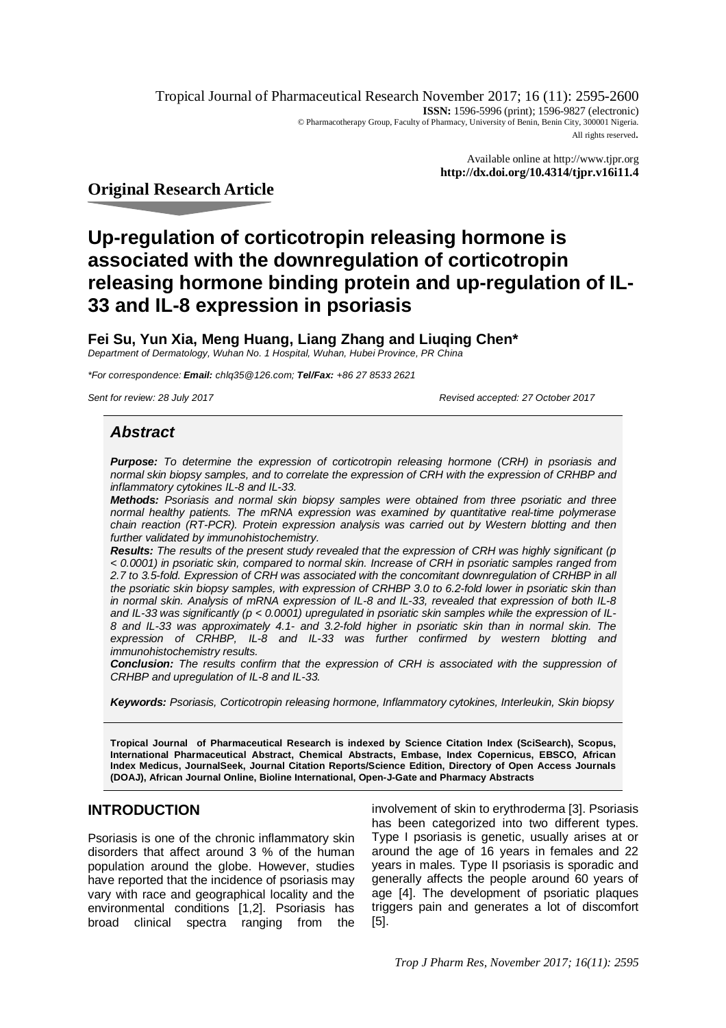Tropical Journal of Pharmaceutical Research November 2017; 16 (11): 2595-2600 **ISSN:** 1596-5996 (print); 1596-9827 (electronic) © Pharmacotherapy Group, Faculty of Pharmacy, University of Benin, Benin City, 300001 Nigeria. All rights reserved.

> Available online at <http://www.tjpr.org> **<http://dx.doi.org/10.4314/tjpr.v16i11.4>**

# **Original Research Article**

# **Up-regulation of corticotropin releasing hormone is associated with the downregulation of corticotropin releasing hormone binding protein and up-regulation of IL-33 and IL-8 expression in psoriasis**

**Fei Su, Yun Xia, Meng Huang, Liang Zhang and Liuqing Chen\*** *Department of Dermatology, Wuhan No. 1 Hospital, Wuhan, Hubei Province, PR China*

*\*For correspondence: Email: [chlq35@126.com;](mailto:chlq35@126.com;) Tel/Fax: +86 27 8533 2621*

*Sent for review: 28 July 2017 Revised accepted: 27 October 2017*

# *Abstract*

*Purpose: To determine the expression of corticotropin releasing hormone (CRH) in psoriasis and normal skin biopsy samples, and to correlate the expression of CRH with the expression of CRHBP and inflammatory cytokines IL-8 and IL-33.*

*Methods: Psoriasis and normal skin biopsy samples were obtained from three psoriatic and three normal healthy patients. The mRNA expression was examined by quantitative real-time polymerase chain reaction (RT-PCR). Protein expression analysis was carried out by Western blotting and then further validated by immunohistochemistry.*

*Results: The results of the present study revealed that the expression of CRH was highly significant (p < 0.0001) in psoriatic skin, compared to normal skin. Increase of CRH in psoriatic samples ranged from 2.7 to 3.5-fold. Expression of CRH was associated with the concomitant downregulation of CRHBP in all the psoriatic skin biopsy samples, with expression of CRHBP 3.0 to 6.2-fold lower in psoriatic skin than in normal skin. Analysis of mRNA expression of IL-8 and IL-33, revealed that expression of both IL-8 and IL-33 was significantly (p < 0.0001) upregulated in psoriatic skin samples while the expression of IL-8 and IL-33 was approximately 4.1- and 3.2-fold higher in psoriatic skin than in normal skin. The expression of CRHBP, IL-8 and IL-33 was further confirmed by western blotting and immunohistochemistry results.*

*Conclusion: The results confirm that the expression of CRH is associated with the suppression of CRHBP and upregulation of IL-8 and IL-33.*

*Keywords: Psoriasis, Corticotropin releasing hormone, Inflammatory cytokines, Interleukin, Skin biopsy*

**Tropical Journal of Pharmaceutical Research is indexed by Science Citation Index (SciSearch), Scopus, International Pharmaceutical Abstract, Chemical Abstracts, Embase, Index Copernicus, EBSCO, African Index Medicus, JournalSeek, Journal Citation Reports/Science Edition, Directory of Open Access Journals (DOAJ), African Journal Online, Bioline International, Open-J-Gate and Pharmacy Abstracts**

# **INTRODUCTION**

Psoriasis is one of the chronic inflammatory skin disorders that affect around 3 % of the human population around the globe. However, studies have reported that the incidence of psoriasis may vary with race and geographical locality and the environmental conditions [1,2]. Psoriasis has broad clinical spectra ranging from the

involvement of skin to erythroderma [3]. Psoriasis has been categorized into two different types. Type I psoriasis is genetic, usually arises at or around the age of 16 years in females and 22 years in males. Type II psoriasis is sporadic and generally affects the people around 60 years of age [4]. The development of psoriatic plaques triggers pain and generates a lot of discomfort [5].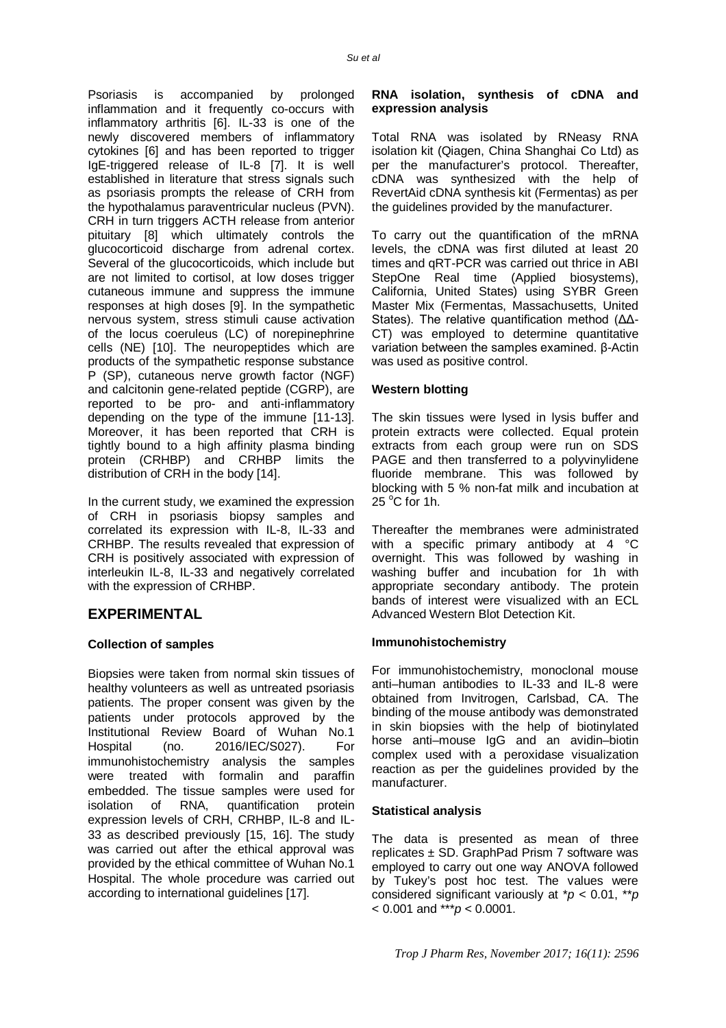Psoriasis is accompanied by prolonged inflammation and it frequently co-occurs with inflammatory arthritis [6]. IL-33 is one of the newly discovered members of inflammatory cytokines [6] and has been reported to trigger IgE-triggered release of IL-8 [7]. It is well established in literature that stress signals such as psoriasis prompts the release of CRH from the hypothalamus paraventricular nucleus (PVN). CRH in turn triggers ACTH release from anterior pituitary [8] which ultimately controls the glucocorticoid discharge from adrenal cortex. Several of the glucocorticoids, which include but are not limited to cortisol, at low doses trigger cutaneous immune and suppress the immune responses at high doses [9]. In the sympathetic nervous system, stress stimuli cause activation of the locus coeruleus (LC) of norepinephrine cells (NE) [10]. The neuropeptides which are products of the sympathetic response substance P (SP), cutaneous nerve growth factor (NGF) and calcitonin gene-related peptide (CGRP), are reported to be pro- and anti-inflammatory depending on the type of the immune [11-13]. Moreover, it has been reported that CRH is tightly bound to a high affinity plasma binding protein (CRHBP) and CRHBP limits the

In the current study, we examined the expression of CRH in psoriasis biopsy samples and correlated its expression with IL-8, IL-33 and CRHBP. The results revealed that expression of CRH is positively associated with expression of interleukin IL-8, IL-33 and negatively correlated with the expression of CRHBP.

distribution of CRH in the body [14].

# **EXPERIMENTAL**

### **Collection of samples**

Biopsies were taken from normal skin tissues of healthy volunteers as well as untreated psoriasis patients. The proper consent was given by the patients under protocols approved by the Institutional Review Board of Wuhan No.1 Hospital (no. 2016/IEC/S027). For immunohistochemistry analysis the samples were treated with formalin and paraffin embedded. The tissue samples were used for isolation of RNA, quantification protein expression levels of CRH, CRHBP, IL-8 and IL-33 as described previously [15, 16]. The study was carried out after the ethical approval was provided by the ethical committee of Wuhan No.1 Hospital. The whole procedure was carried out according to international guidelines [17].

### **RNA isolation, synthesis of cDNA and expression analysis**

Total RNA was isolated by RNeasy RNA isolation kit (Qiagen, China Shanghai Co Ltd) as per the manufacturer's protocol. Thereafter, cDNA was synthesized with the help of RevertAid cDNA synthesis kit (Fermentas) as per the guidelines provided by the manufacturer.

To carry out the quantification of the mRNA levels, the cDNA was first diluted at least 20 times and qRT-PCR was carried out thrice in ABI StepOne Real time (Applied biosystems), California, United States) using SYBR Green Master Mix (Fermentas, Massachusetts, United States). The relative quantification method (ΔΔ-CT) was employed to determine quantitative variation between the samples examined. β-Actin was used as positive control.

### **Western blotting**

The skin tissues were lysed in lysis buffer and protein extracts were collected. Equal protein extracts from each group were run on SDS PAGE and then transferred to a polyvinylidene fluoride membrane. This was followed by blocking with 5 % non-fat milk and incubation at  $25^{\circ}$ C for 1h.

Thereafter the membranes were administrated with a specific primary antibody at 4 °C overnight. This was followed by washing in washing buffer and incubation for 1h with appropriate secondary antibody. The protein bands of interest were visualized with an ECL Advanced Western Blot Detection Kit.

### **Immunohistochemistry**

For immunohistochemistry, monoclonal mouse anti–human antibodies to IL-33 and IL-8 were obtained from Invitrogen, Carlsbad, CA. The binding of the mouse antibody was demonstrated in skin biopsies with the help of biotinylated horse anti–mouse IgG and an avidin–biotin complex used with a peroxidase visualization reaction as per the guidelines provided by the manufacturer.

### **Statistical analysis**

The data is presented as mean of three replicates  $\pm$  SD. GraphPad Prism 7 software was employed to carry out one way ANOVA followed by Tukey's post hoc test. The values were considered significant variously at \**p* < 0.01, \*\**p* < 0.001 and \*\*\**p* < 0.0001.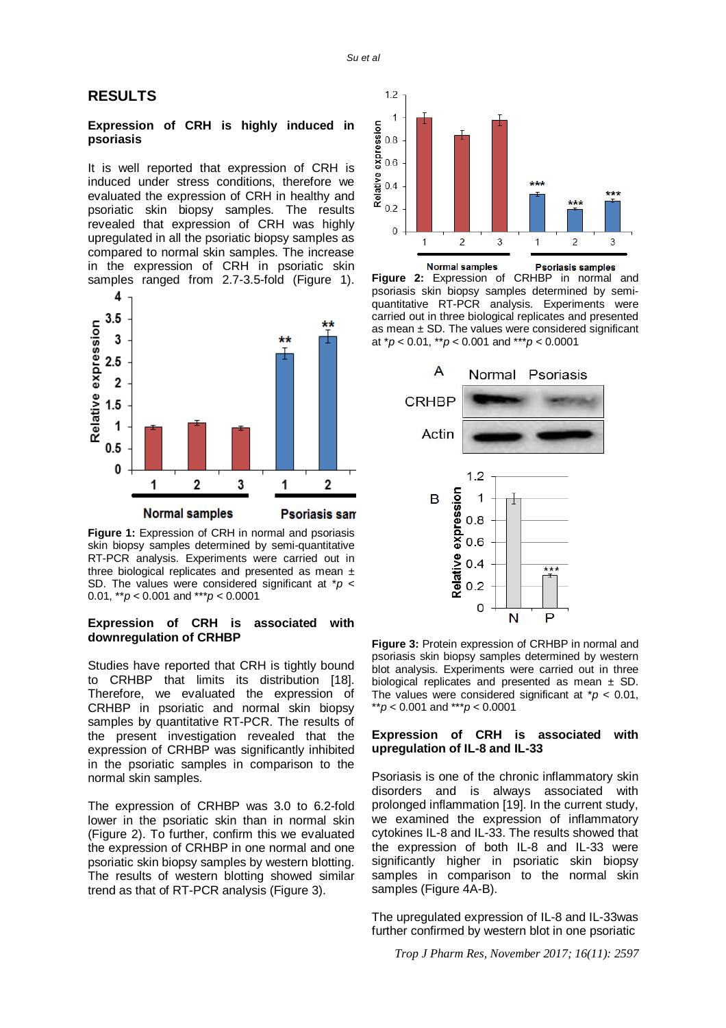### **RESULTS**

#### **Expression of CRH is highly induced in psoriasis**

It is well reported that expression of CRH is induced under stress conditions, therefore we evaluated the expression of CRH in healthy and psoriatic skin biopsy samples. The results revealed that expression of CRH was highly upregulated in all the psoriatic biopsy samples as compared to normal skin samples. The increase in the expression of CRH in psoriatic skin samples ranged from 2.7-3.5-fold (Figure 1).



**Figure 1:** Expression of CRH in normal and psoriasis skin biopsy samples determined by semi-quantitative RT-PCR analysis. Experiments were carried out in three biological replicates and presented as mean  $\pm$ SD. The values were considered significant at \**p* < 0.01, \*\**p* < 0.001 and \*\*\**p* < 0.0001

#### **Expression of CRH is associated with downregulation of CRHBP**

Studies have reported that CRH is tightly bound to CRHBP that limits its distribution [18]. Therefore, we evaluated the expression of CRHBP in psoriatic and normal skin biopsy samples by quantitative RT-PCR. The results of the present investigation revealed that the expression of CRHBP was significantly inhibited in the psoriatic samples in comparison to the normal skin samples.

The expression of CRHBP was 3.0 to 6.2-fold lower in the psoriatic skin than in normal skin (Figure 2). To further, confirm this we evaluated the expression of CRHBP in one normal and one psoriatic skin biopsy samples by western blotting. The results of western blotting showed similar trend as that of RT-PCR analysis (Figure 3).







**Figure 3:** Protein expression of CRHBP in normal and psoriasis skin biopsy samples determined by western blot analysis. Experiments were carried out in three biological replicates and presented as mean  $\pm$  SD. The values were considered significant at  $p < 0.01$ , \*\**p* < 0.001 and \*\*\**p* < 0.0001

#### **Expression of CRH is associated with upregulation of IL-8 and IL-33**

Psoriasis is one of the chronic inflammatory skin disorders and is always associated with prolonged inflammation [19]. In the current study, we examined the expression of inflammatory cytokines IL-8 and IL-33. The results showed that the expression of both IL-8 and IL-33 were significantly higher in psoriatic skin biopsy samples in comparison to the normal skin samples (Figure 4A-B).

The upregulated expression of IL-8 and IL-33was further confirmed by western blot in one psoriatic

*Trop J Pharm Res, November 2017; 16(11): 2597*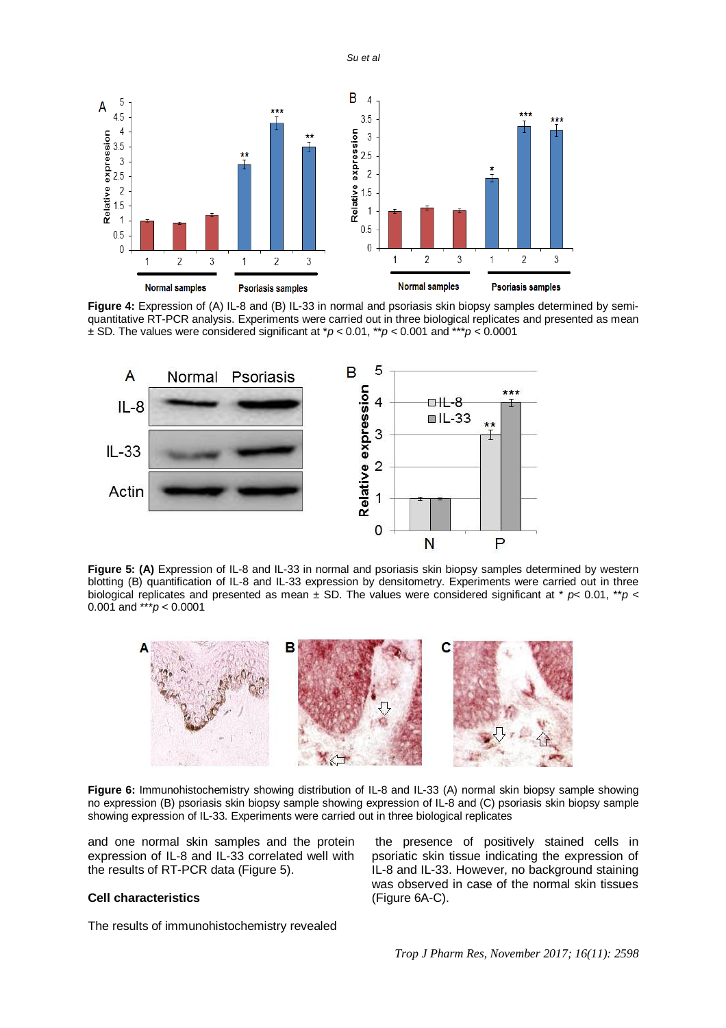*Su et al*



Figure 4: Expression of (A) IL-8 and (B) IL-33 in normal and psoriasis skin biopsy samples determined by semiquantitative RT-PCR analysis. Experiments were carried out in three biological replicates and presented as mean ± SD. The values were considered significant at \**p* < 0.01, \*\**p* < 0.001 and \*\*\**p* < 0.0001



**Figure 5: (A)** Expression of IL-8 and IL-33 in normal and psoriasis skin biopsy samples determined by western blotting (B) quantification of IL-8 and IL-33 expression by densitometry. Experiments were carried out in three biological replicates and presented as mean  $\pm$  SD. The values were considered significant at  $*$   $p$ < 0.01,  $*$  $p$  < 0.001 and \*\*\**p* < 0.0001



**Figure 6:** Immunohistochemistry showing distribution of IL-8 and IL-33 (A) normal skin biopsy sample showing no expression (B) psoriasis skin biopsy sample showing expression of IL-8 and (C) psoriasis skin biopsy sample showing expression of IL-33. Experiments were carried out in three biological replicates

and one normal skin samples and the protein expression of IL-8 and IL-33 correlated well with the results of RT-PCR data (Figure 5).

#### **Cell characteristics**

The results of immunohistochemistry revealed

the presence of positively stained cells in psoriatic skin tissue indicating the expression of IL-8 and IL-33. However, no background staining was observed in case of the normal skin tissues (Figure 6A-C).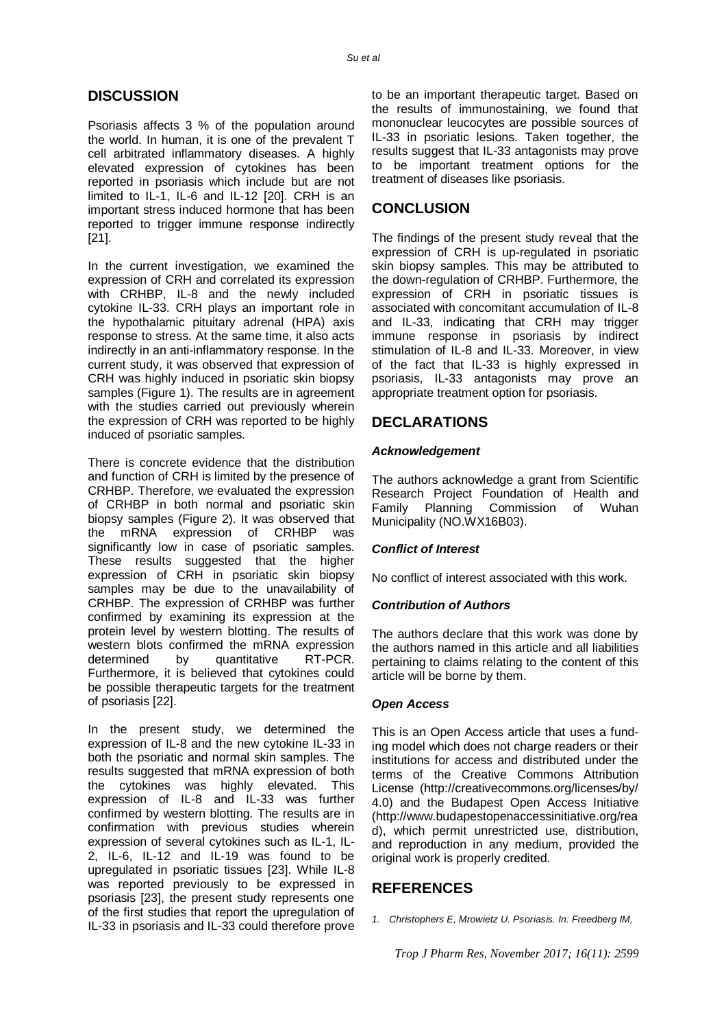### **DISCUSSION**

Psoriasis affects 3 % of the population around the world. In human, it is one of the prevalent T cell arbitrated inflammatory diseases. A highly elevated expression of cytokines has been reported in psoriasis which include but are not limited to IL-1, IL-6 and IL-12 [20]. CRH is an important stress induced hormone that has been reported to trigger immune response indirectly [21].

In the current investigation, we examined the expression of CRH and correlated its expression with CRHBP, IL-8 and the newly included cytokine IL-33. CRH plays an important role in the hypothalamic pituitary adrenal (HPA) axis response to stress. At the same time, it also acts indirectly in an anti-inflammatory response. In the current study, it was observed that expression of CRH was highly induced in psoriatic skin biopsy samples (Figure 1). The results are in agreement with the studies carried out previously wherein the expression of CRH was reported to be highly induced of psoriatic samples.

There is concrete evidence that the distribution and function of CRH is limited by the presence of CRHBP. Therefore, we evaluated the expression of CRHBP in both normal and psoriatic skin biopsy samples (Figure 2). It was observed that the mRNA expression of CRHBP was significantly low in case of psoriatic samples. These results suggested that the higher expression of CRH in psoriatic skin biopsy samples may be due to the unavailability of CRHBP. The expression of CRHBP was further confirmed by examining its expression at the protein level by western blotting. The results of western blots confirmed the mRNA expression determined by quantitative RT-PCR. Furthermore, it is believed that cytokines could be possible therapeutic targets for the treatment of psoriasis [22].

In the present study, we determined the expression of IL-8 and the new cytokine IL-33 in both the psoriatic and normal skin samples. The results suggested that mRNA expression of both the cytokines was highly elevated. This expression of IL-8 and IL-33 was further confirmed by western blotting. The results are in confirmation with previous studies wherein expression of several cytokines such as IL-1, IL-2, IL-6, IL-12 and IL-19 was found to be upregulated in psoriatic tissues [23]. While IL-8 was reported previously to be expressed in psoriasis [23], the present study represents one of the first studies that report the upregulation of IL-33 in psoriasis and IL-33 could therefore prove to be an important therapeutic target. Based on the results of immunostaining, we found that mononuclear leucocytes are possible sources of IL-33 in psoriatic lesions. Taken together, the results suggest that IL-33 antagonists may prove to be important treatment options for the treatment of diseases like psoriasis.

# **CONCLUSION**

The findings of the present study reveal that the expression of CRH is up-regulated in psoriatic skin biopsy samples. This may be attributed to the down-regulation of CRHBP. Furthermore, the expression of CRH in psoriatic tissues is associated with concomitant accumulation of IL-8 and IL-33, indicating that CRH may trigger immune response in psoriasis by indirect stimulation of IL-8 and IL-33. Moreover, in view of the fact that IL-33 is highly expressed in psoriasis, IL-33 antagonists may prove an appropriate treatment option for psoriasis.

# **DECLARATIONS**

### *Acknowledgement*

The authors acknowledge a grant from Scientific Research Project Foundation of Health and Family Planning Commission of Wuhan Municipality (NO.WX16B03).

### *Conflict of Interest*

No conflict of interest associated with this work.

### *Contribution of Authors*

The authors declare that this work was done by the authors named in this article and all liabilities pertaining to claims relating to the content of this article will be borne by them.

#### *Open Access*

This is an Open Access article that uses a funding model which does not charge readers or their institutions for access and distributed under the terms of the Creative Commons Attribution License (<http://creativecommons.org/licenses/by/> 4.0) and the Budapest Open Access Initiative [\(http://www.budapestopenaccessinitiative.org/rea](http://www.budapestopenaccessinitiative.org/rea) d), which permit unrestricted use, distribution, and reproduction in any medium, provided the original work is properly credited.

### **REFERENCES**

*1. Christophers E, Mrowietz U. Psoriasis. In: Freedberg IM,*